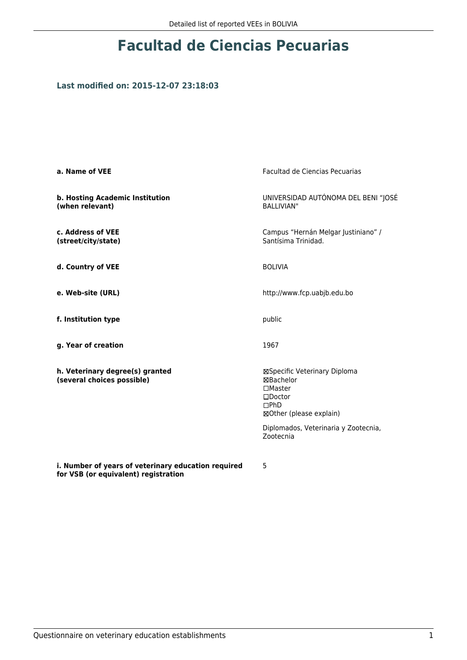# **Facultad de Ciencias Pecuarias**

## **Last modified on: 2015-12-07 23:18:03**

| a. Name of VEE                                                                              | Facultad de Ciencias Pecuarias                                                                                           |
|---------------------------------------------------------------------------------------------|--------------------------------------------------------------------------------------------------------------------------|
| b. Hosting Academic Institution<br>(when relevant)                                          | UNIVERSIDAD AUTÓNOMA DEL BENI "JOSÉ<br><b>BALLIVIAN"</b>                                                                 |
| c. Address of VEE<br>(street/city/state)                                                    | Campus "Hernán Melgar Justiniano" /<br>Santísima Trinidad.                                                               |
| d. Country of VEE                                                                           | <b>BOLIVIA</b>                                                                                                           |
| e. Web-site (URL)                                                                           | http://www.fcp.uabjb.edu.bo                                                                                              |
| f. Institution type                                                                         | public                                                                                                                   |
| g. Year of creation                                                                         | 1967                                                                                                                     |
| h. Veterinary degree(s) granted<br>(several choices possible)                               | ⊠Specific Veterinary Diploma<br><b>⊠Bachelor</b><br>$\Box$ Master<br>$\square$ Doctor<br>DPhD<br>⊠Other (please explain) |
|                                                                                             | Diplomados, Veterinaria y Zootecnia,<br>Zootecnia                                                                        |
| i. Number of years of veterinary education required<br>for VSB (or equivalent) registration | 5                                                                                                                        |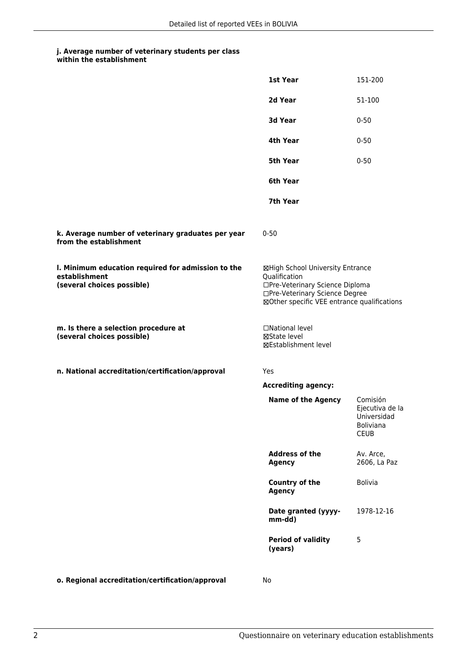### **j. Average number of veterinary students per class within the establishment**

|                                                                                                   | 1st Year                                                                                                                                                              | 151-200                                                                       |
|---------------------------------------------------------------------------------------------------|-----------------------------------------------------------------------------------------------------------------------------------------------------------------------|-------------------------------------------------------------------------------|
|                                                                                                   | 2d Year                                                                                                                                                               | 51-100                                                                        |
|                                                                                                   | 3d Year                                                                                                                                                               | $0 - 50$                                                                      |
|                                                                                                   | 4th Year                                                                                                                                                              | $0 - 50$                                                                      |
|                                                                                                   | 5th Year                                                                                                                                                              | $0 - 50$                                                                      |
|                                                                                                   | 6th Year                                                                                                                                                              |                                                                               |
|                                                                                                   | 7th Year                                                                                                                                                              |                                                                               |
| k. Average number of veterinary graduates per year<br>from the establishment                      | $0 - 50$                                                                                                                                                              |                                                                               |
| I. Minimum education required for admission to the<br>establishment<br>(several choices possible) | ⊠High School University Entrance<br>Qualification<br>□Pre-Veterinary Science Diploma<br>□Pre-Veterinary Science Degree<br>⊠Other specific VEE entrance qualifications |                                                                               |
| m. Is there a selection procedure at<br>(several choices possible)                                | □National level<br>⊠State level<br>⊠Establishment level                                                                                                               |                                                                               |
| n. National accreditation/certification/approval                                                  | Yes                                                                                                                                                                   |                                                                               |
|                                                                                                   | <b>Accrediting agency:</b>                                                                                                                                            |                                                                               |
|                                                                                                   | <b>Name of the Agency</b>                                                                                                                                             | Comisión<br>Ejecutiva de la<br>Universidad<br><b>Boliviana</b><br><b>CEUB</b> |
|                                                                                                   | <b>Address of the</b><br><b>Agency</b>                                                                                                                                | Av. Arce,<br>2606, La Paz                                                     |
|                                                                                                   | <b>Country of the</b><br><b>Agency</b>                                                                                                                                | <b>Bolivia</b>                                                                |
|                                                                                                   | Date granted (yyyy-<br>mm-dd)                                                                                                                                         | 1978-12-16                                                                    |
|                                                                                                   | <b>Period of validity</b><br>(years)                                                                                                                                  | 5                                                                             |
|                                                                                                   |                                                                                                                                                                       |                                                                               |

**o. Regional accreditation/certification/approval** No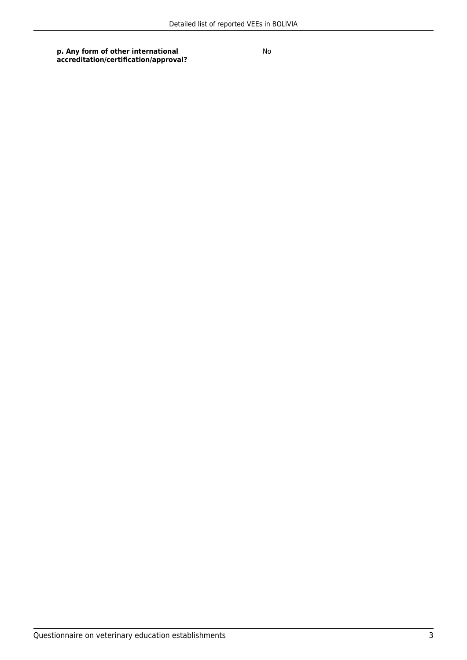**p. Any form of other international accreditation/certification/approval?** No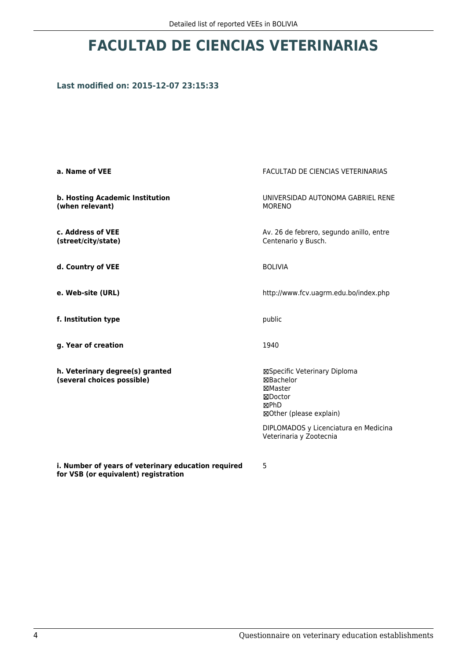# **FACULTAD DE CIENCIAS VETERINARIAS**

## **Last modified on: 2015-12-07 23:15:33**

| a. Name of VEE                                                                              | FACULTAD DE CIENCIAS VETERINARIAS                                                                  |
|---------------------------------------------------------------------------------------------|----------------------------------------------------------------------------------------------------|
| b. Hosting Academic Institution<br>(when relevant)                                          | UNIVERSIDAD AUTONOMA GABRIEL RENE<br><b>MORENO</b>                                                 |
| c. Address of VEE<br>(street/city/state)                                                    | Av. 26 de febrero, segundo anillo, entre<br>Centenario y Busch.                                    |
| d. Country of VEE                                                                           | <b>BOLIVIA</b>                                                                                     |
| e. Web-site (URL)                                                                           | http://www.fcv.uagrm.edu.bo/index.php                                                              |
| f. Institution type                                                                         | public                                                                                             |
| g. Year of creation                                                                         | 1940                                                                                               |
| h. Veterinary degree(s) granted<br>(several choices possible)                               | ⊠Specific Veterinary Diploma<br>⊠Bachelor<br>⊠Master<br>⊠Doctor<br>⊠PhD<br>⊠Other (please explain) |
|                                                                                             | DIPLOMADOS y Licenciatura en Medicina<br>Veterinaria y Zootecnia                                   |
| i. Number of years of veterinary education required<br>for VSB (or equivalent) registration | 5                                                                                                  |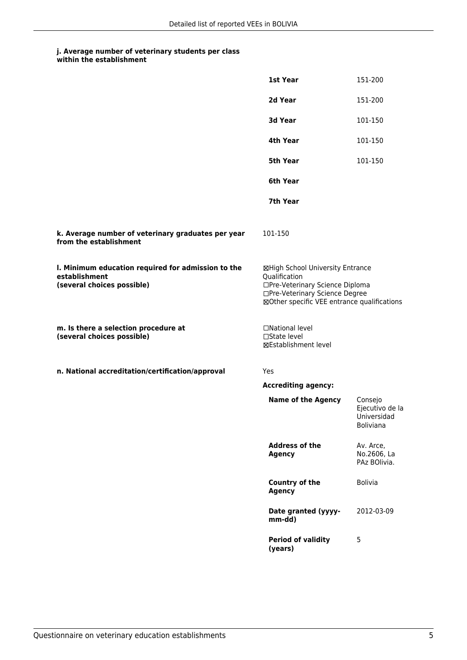### **j. Average number of veterinary students per class within the establishment**

|                                                                                                   | 1st Year                                                                                                                                                              | 151-200                                                       |
|---------------------------------------------------------------------------------------------------|-----------------------------------------------------------------------------------------------------------------------------------------------------------------------|---------------------------------------------------------------|
|                                                                                                   | 2d Year                                                                                                                                                               | 151-200                                                       |
|                                                                                                   | 3d Year                                                                                                                                                               | 101-150                                                       |
|                                                                                                   | 4th Year                                                                                                                                                              | 101-150                                                       |
|                                                                                                   | 5th Year                                                                                                                                                              | 101-150                                                       |
|                                                                                                   | 6th Year                                                                                                                                                              |                                                               |
|                                                                                                   | 7th Year                                                                                                                                                              |                                                               |
| k. Average number of veterinary graduates per year<br>from the establishment                      | 101-150                                                                                                                                                               |                                                               |
| I. Minimum education required for admission to the<br>establishment<br>(several choices possible) | ⊠High School University Entrance<br>Qualification<br>□Pre-Veterinary Science Diploma<br>□Pre-Veterinary Science Degree<br>⊠Other specific VEE entrance qualifications |                                                               |
| m. Is there a selection procedure at<br>(several choices possible)                                | □National level<br>□State level<br>⊠Establishment level                                                                                                               |                                                               |
| n. National accreditation/certification/approval                                                  | Yes                                                                                                                                                                   |                                                               |
|                                                                                                   | <b>Accrediting agency:</b>                                                                                                                                            |                                                               |
|                                                                                                   | <b>Name of the Agency</b>                                                                                                                                             | Consejo<br>Ejecutivo de la<br>Universidad<br><b>Boliviana</b> |
|                                                                                                   | <b>Address of the</b><br><b>Agency</b>                                                                                                                                | Av. Arce,<br>No.2606, La<br>PAz BOlivia.                      |
|                                                                                                   | <b>Country of the</b><br><b>Agency</b>                                                                                                                                | <b>Bolivia</b>                                                |
|                                                                                                   | Date granted (yyyy-<br>mm-dd)                                                                                                                                         | 2012-03-09                                                    |
|                                                                                                   | <b>Period of validity</b><br>(years)                                                                                                                                  | 5                                                             |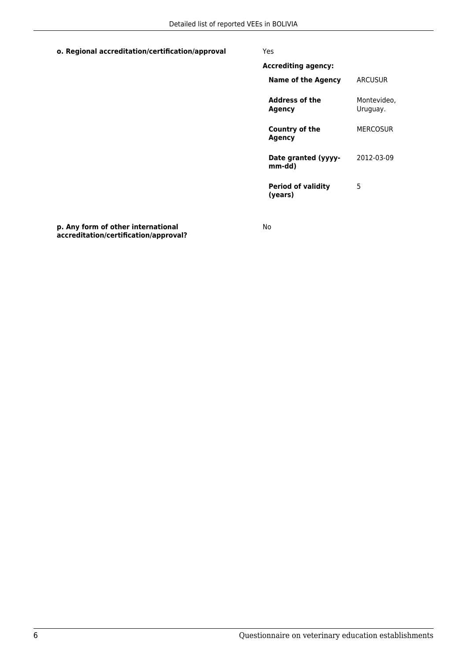**o. Regional accreditation/certification/approval** Yes

| Accrediting agency:                  |                         |
|--------------------------------------|-------------------------|
| Name of the Agency                   | ARCUSUR                 |
| Address of the<br><b>Agency</b>      | Montevideo.<br>Uruguay. |
| Country of the<br>Agency             | MFRCOSUR                |
| Date granted (yyyy-<br>mm-dd)        | 2012-03-09              |
| <b>Period of validity</b><br>(vears) | 5                       |

**p. Any form of other international accreditation/certification/approval?** No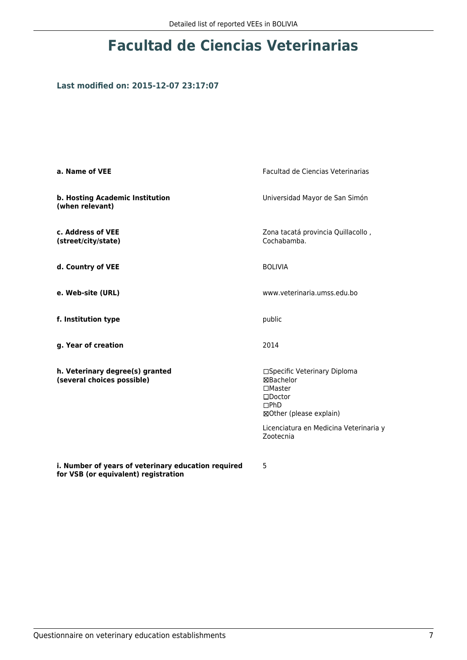# **Facultad de Ciencias Veterinarias**

## **Last modified on: 2015-12-07 23:17:07**

| a. Name of VEE                                                                              | <b>Facultad de Ciencias Veterinarias</b>                                                                                                                       |
|---------------------------------------------------------------------------------------------|----------------------------------------------------------------------------------------------------------------------------------------------------------------|
| b. Hosting Academic Institution<br>(when relevant)                                          | Universidad Mayor de San Simón                                                                                                                                 |
| c. Address of VEE<br>(street/city/state)                                                    | Zona tacatá provincia Quillacollo,<br>Cochabamba.                                                                                                              |
| d. Country of VEE                                                                           | <b>BOLIVIA</b>                                                                                                                                                 |
| e. Web-site (URL)                                                                           | www.veterinaria.umss.edu.bo                                                                                                                                    |
| f. Institution type                                                                         | public                                                                                                                                                         |
| g. Year of creation                                                                         | 2014                                                                                                                                                           |
| h. Veterinary degree(s) granted<br>(several choices possible)                               | □Specific Veterinary Diploma<br>⊠Bachelor<br>$\square$ Master<br>$\square$ Doctor<br>DPhD<br>⊠Other (please explain)<br>Licenciatura en Medicina Veterinaria y |
|                                                                                             | Zootecnia                                                                                                                                                      |
| i. Number of years of veterinary education required<br>for VSB (or equivalent) registration | 5                                                                                                                                                              |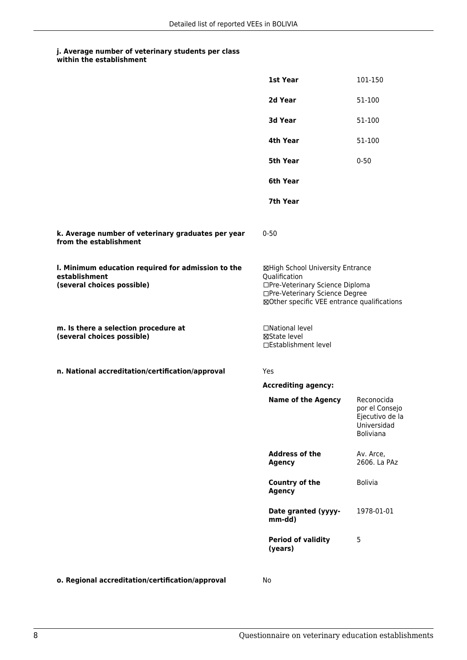### **j. Average number of veterinary students per class within the establishment**

|                                                                                                   | 1st Year                                                                                                                                                              | 101-150                                                                            |
|---------------------------------------------------------------------------------------------------|-----------------------------------------------------------------------------------------------------------------------------------------------------------------------|------------------------------------------------------------------------------------|
|                                                                                                   | 2d Year                                                                                                                                                               | 51-100                                                                             |
|                                                                                                   | 3d Year                                                                                                                                                               | 51-100                                                                             |
|                                                                                                   | 4th Year                                                                                                                                                              | 51-100                                                                             |
|                                                                                                   | <b>5th Year</b>                                                                                                                                                       | $0 - 50$                                                                           |
|                                                                                                   | 6th Year                                                                                                                                                              |                                                                                    |
|                                                                                                   | 7th Year                                                                                                                                                              |                                                                                    |
| k. Average number of veterinary graduates per year<br>from the establishment                      | $0 - 50$                                                                                                                                                              |                                                                                    |
| I. Minimum education required for admission to the<br>establishment<br>(several choices possible) | ⊠High School University Entrance<br>Qualification<br>□Pre-Veterinary Science Diploma<br>□Pre-Veterinary Science Degree<br>⊠Other specific VEE entrance qualifications |                                                                                    |
| m. Is there a selection procedure at<br>(several choices possible)                                | □National level<br>⊠State level<br>□Establishment level                                                                                                               |                                                                                    |
| n. National accreditation/certification/approval                                                  | Yes                                                                                                                                                                   |                                                                                    |
|                                                                                                   | <b>Accrediting agency:</b>                                                                                                                                            |                                                                                    |
|                                                                                                   | <b>Name of the Agency</b>                                                                                                                                             | Reconocida<br>por el Consejo<br>Ejecutivo de la<br>Universidad<br><b>Boliviana</b> |
|                                                                                                   | <b>Address of the</b><br><b>Agency</b>                                                                                                                                | Av. Arce,<br>2606. La PAz                                                          |
|                                                                                                   | <b>Country of the</b><br><b>Agency</b>                                                                                                                                | <b>Bolivia</b>                                                                     |
|                                                                                                   | Date granted (yyyy-<br>mm-dd)                                                                                                                                         | 1978-01-01                                                                         |
|                                                                                                   | <b>Period of validity</b><br>(years)                                                                                                                                  | 5                                                                                  |
|                                                                                                   |                                                                                                                                                                       |                                                                                    |

**o. Regional accreditation/certification/approval** No